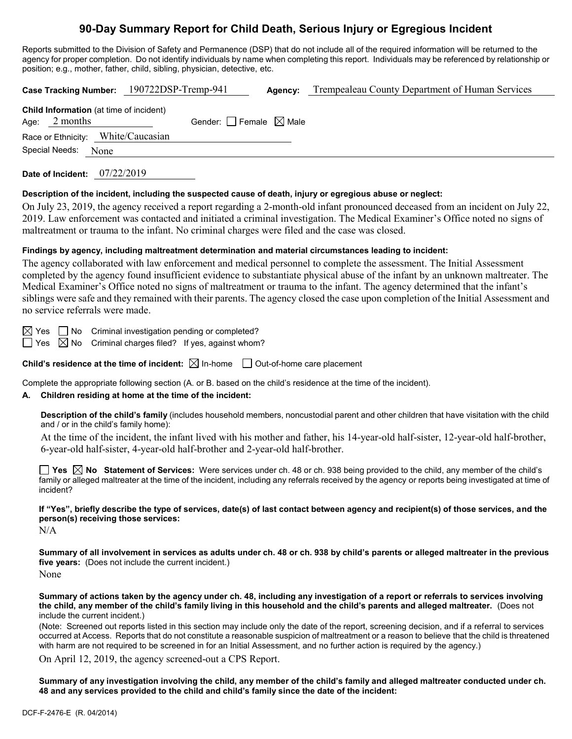# **90-Day Summary Report for Child Death, Serious Injury or Egregious Incident**

Reports submitted to the Division of Safety and Permanence (DSP) that do not include all of the required information will be returned to the agency for proper completion. Do not identify individuals by name when completing this report. Individuals may be referenced by relationship or position; e.g., mother, father, child, sibling, physician, detective, etc.

| Case Tracking Number: 190722DSP-Tremp-941                         |                                 | Agency: | Trempealeau County Department of Human Services |
|-------------------------------------------------------------------|---------------------------------|---------|-------------------------------------------------|
| <b>Child Information</b> (at time of incident)<br>Age: $2$ months | Gender: Female $\boxtimes$ Male |         |                                                 |
| Race or Ethnicity: White/Caucasian                                |                                 |         |                                                 |
| Special Needs: None                                               |                                 |         |                                                 |
| 07/22/2019<br>Date of Incident:                                   |                                 |         |                                                 |

**Description of the incident, including the suspected cause of death, injury or egregious abuse or neglect:**

On July 23, 2019, the agency received a report regarding a 2-month-old infant pronounced deceased from an incident on July 22, 2019. Law enforcement was contacted and initiated a criminal investigation. The Medical Examiner's Office noted no signs of maltreatment or trauma to the infant. No criminal charges were filed and the case was closed.

## **Findings by agency, including maltreatment determination and material circumstances leading to incident:**

The agency collaborated with law enforcement and medical personnel to complete the assessment. The Initial Assessment completed by the agency found insufficient evidence to substantiate physical abuse of the infant by an unknown maltreater. The Medical Examiner's Office noted no signs of maltreatment or trauma to the infant. The agency determined that the infant's siblings were safe and they remained with their parents. The agency closed the case upon completion of the Initial Assessment and no service referrals were made.

 $\boxtimes$  Yes  $\Box$  No Criminal investigation pending or completed?

 $\Box$  Yes  $\boxtimes$  No Criminal charges filed? If yes, against whom?

**Child's residence at the time of incident:**  $\boxtimes$  In-home  $\Box$  Out-of-home care placement

Complete the appropriate following section (A. or B. based on the child's residence at the time of the incident).

## **A. Children residing at home at the time of the incident:**

**Description of the child's family** (includes household members, noncustodial parent and other children that have visitation with the child and / or in the child's family home):

At the time of the incident, the infant lived with his mother and father, his 14-year-old half-sister, 12-year-old half-brother, 6-year-old half-sister, 4-year-old half-brother and 2-year-old half-brother.

**Yes No Statement of Services:** Were services under ch. 48 or ch. 938 being provided to the child, any member of the child's family or alleged maltreater at the time of the incident, including any referrals received by the agency or reports being investigated at time of incident?

**If "Yes", briefly describe the type of services, date(s) of last contact between agency and recipient(s) of those services, and the person(s) receiving those services:**

N/A

**Summary of all involvement in services as adults under ch. 48 or ch. 938 by child's parents or alleged maltreater in the previous five years:** (Does not include the current incident.) None

**Summary of actions taken by the agency under ch. 48, including any investigation of a report or referrals to services involving the child, any member of the child's family living in this household and the child's parents and alleged maltreater.** (Does not include the current incident.)

(Note: Screened out reports listed in this section may include only the date of the report, screening decision, and if a referral to services occurred at Access. Reports that do not constitute a reasonable suspicion of maltreatment or a reason to believe that the child is threatened with harm are not required to be screened in for an Initial Assessment, and no further action is required by the agency.)

On April 12, 2019, the agency screened-out a CPS Report.

**Summary of any investigation involving the child, any member of the child's family and alleged maltreater conducted under ch. 48 and any services provided to the child and child's family since the date of the incident:**